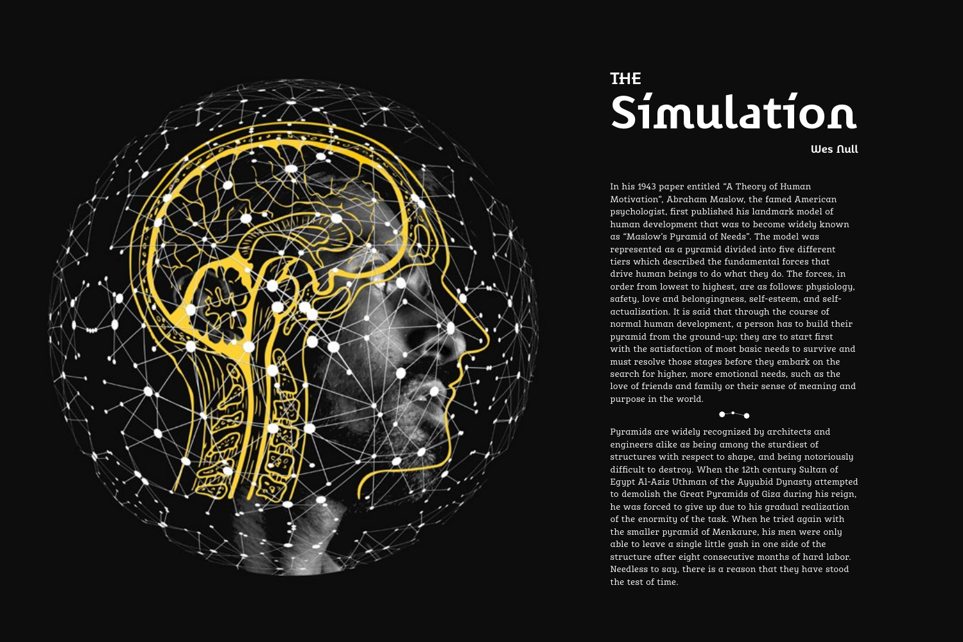

# **the Simulation**

**Wes Null**

In his 1943 paper entitled "A Theory of Human Motivation", Abraham Maslow, the famed American psychologist, first published his landmark model of human development that was to become widely known as "Maslow's Pyramid of Needs". The model was represented as a pyramid divided into five different tiers which described the fundamental forces that drive human beings to do what they do. The forces, in order from lowest to highest, are as follows: physiology, safety, love and belongingness, self-esteem, and selfactualization. It is said that through the course of normal human development, a person has to build their pyramid from the ground-up; they are to start first with the satisfaction of most basic needs to survive and must resolve those stages before they embark on the search for higher, more emotional needs, such as the love of friends and family or their sense of meaning and purpose in the world.

Pyramids are widely recognized by architects and engineers alike as being among the sturdiest of structures with respect to shape, and being notoriously difficult to destroy. When the 12th century Sultan of Egypt Al-Aziz Uthman of the Ayyubid Dynasty attempted to demolish the Great Pyramids of Giza during his reign, he was forced to give up due to his gradual realization of the enormity of the task. When he tried again with the smaller pyramid of Menkaure, his men were only able to leave a single little gash in one side of the structure after eight consecutive months of hard labor. Needless to say, there is a reason that they have stood the test of time.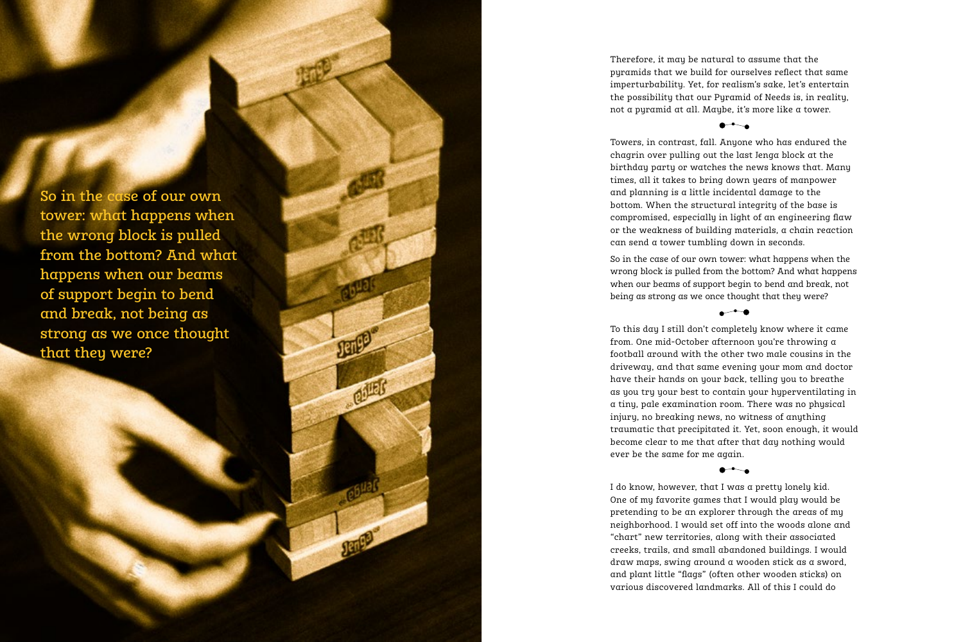So in the case of our own tower: what happens when the wrong block is pulled from the bottom? And what happens when our beams of support begin to bend and break, not being as strong as we once thought that they were?

COURS

Therefore, it may be natural to assume that the pyramids that we build for ourselves reflect that same imperturbability. Yet, for realism's sake, let's entertain the possibility that our Pyramid of Needs is, in reality, not a pyramid at all. Maybe, it's more like a tower.

# $\bullet$

Towers, in contrast, fall. Anyone who has endured the chagrin over pulling out the last Jenga block at the birthday party or watches the news knows that. Many times, all it takes to bring down years of manpower and planning is a little incidental damage to the bottom. When the structural integrity of the base is compromised, especially in light of an engineering flaw or the weakness of building materials, a chain reaction can send a tower tumbling down in seconds.

So in the case of our own tower: what happens when the wrong block is pulled from the bottom? And what happens when our beams of support begin to bend and break, not being as strong as we once thought that they were?

### $\overline{\phantom{a}}$

To this day I still don't completely know where it came from. One mid-October afternoon you're throwing a football around with the other two male cousins in the driveway, and that same evening your mom and doctor have their hands on your back, telling you to breathe as you try your best to contain your hyperventilating in a tiny, pale examination room. There was no physical injury, no breaking news, no witness of anything traumatic that precipitated it. Yet, soon enough, it would become clear to me that after that day nothing would ever be the same for me again.

## $\bullet$

I do know, however, that I was a pretty lonely kid. One of my favorite games that I would play would be pretending to be an explorer through the areas of my neighborhood. I would set off into the woods alone and "chart" new territories, along with their associated creeks, trails, and small abandoned buildings. I would draw maps, swing around a wooden stick as a sword, and plant little "flags" (often other wooden sticks) on various discovered landmarks. All of this I could do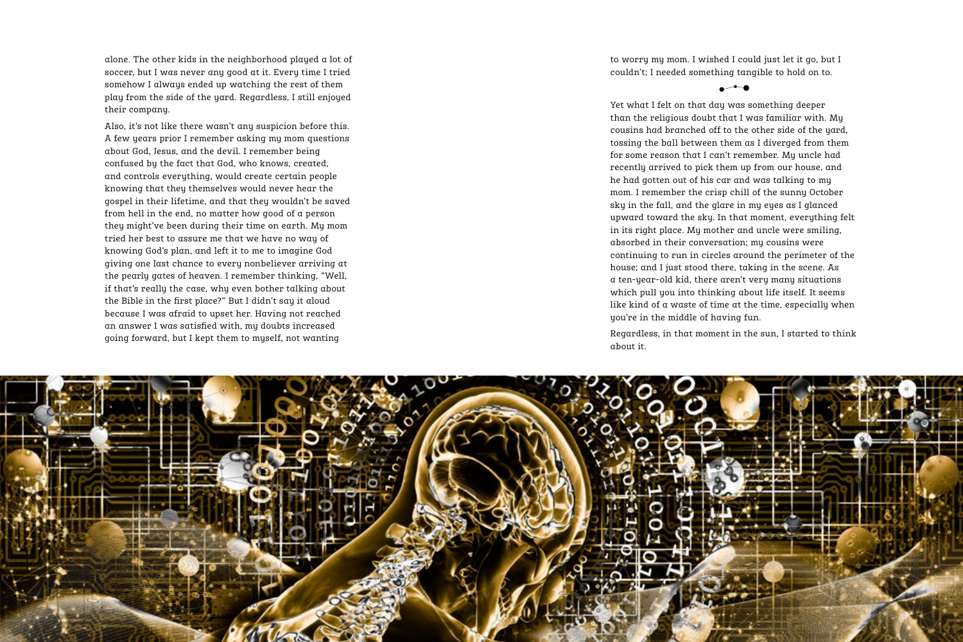alone. The other kids in the neighborhood played a lot of soccer, but I was never any good at it. Every time I tried somehow I always ended up watching the rest of them play from the side of the yard. Regardless, I still enjoyed their company.

Also, it's not like there wasn't any suspicion before this. A few years prior I remember asking my mom questions about God, Jesus, and the devil. I remember being confused by the fact that God, who knows, created, and controls everything, would create certain people knowing that they themselves would never hear the gospel in their lifetime, and that they wouldn't be saved from hell in the end, no matter how good of a person they might've been during their time on earth. My mom tried her best to assure me that we have no way of knowing God's plan, and left it to me to imagine God giving one last chance to every nonbeliever arriving at the pearly gates of heaven. I remember thinking, "Well, if that's really the case, why even bother talking about the Bible in the first place?" But I didn't say it aloud because I was afraid to upset her. Having not reached an answer I was satisfied with, my doubts increased going forward, but I kept them to myself, not wanting

to worry my mom. I wished I could just let it go, but I couldn't; I needed something tangible to hold on to.

 $\overline{\phantom{a}}$ 

Yet what I felt on that day was something deeper than the religious doubt that I was familiar with. My cousins had branched off to the other side of the yard, tossing the ball between them as I diverged from them for some reason that I can't remember. My uncle had recently arrived to pick them up from our house, and he had gotten out of his car and was talking to my mom. I remember the crisp chill of the sunny October sky in the fall, and the glare in my eyes as I glanced upward toward the sky. In that moment, everything felt in its right place. My mother and uncle were smiling, absorbed in their conversation; my cousins were continuing to run in circles around the perimeter of the house; and I just stood there, taking in the scene. As a ten-year-old kid, there aren't very many situations which pull you into thinking about life itself. It seems like kind of a waste of time at the time, especially when you're in the middle of having fun.

Regardless, in that moment in the sun, I started to think about it.

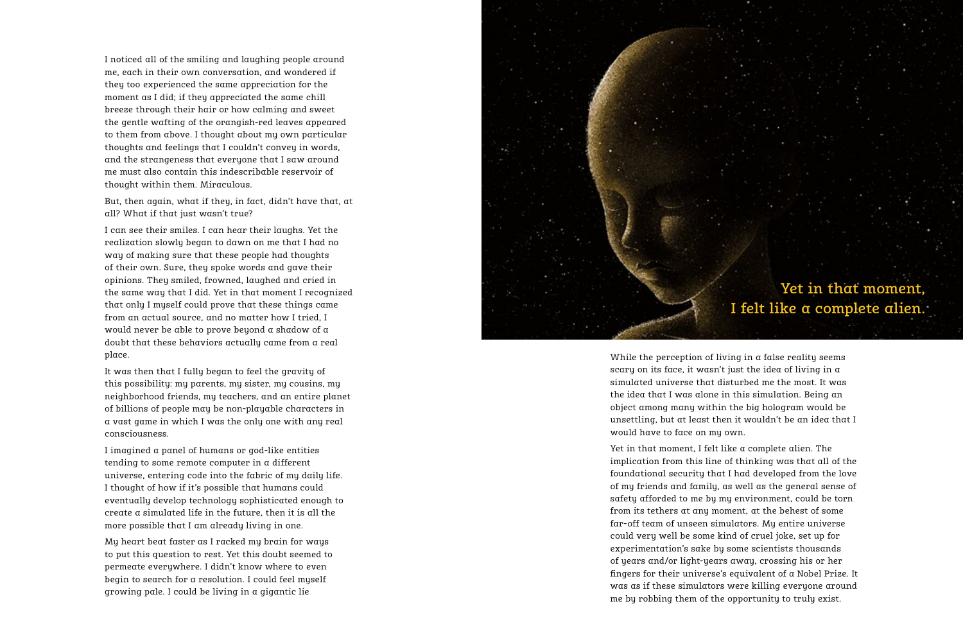I noticed all of the smiling and laughing people around me, each in their own conversation, and wondered if they too experienced the same appreciation for the moment as I did; if they appreciated the same chill breeze through their hair or how calming and sweet the gentle wafting of the orangish-red leaves appeared to them from above. I thought about my own particular thoughts and feelings that I couldn't convey in words, and the strangeness that everyone that I saw around me must also contain this indescribable reservoir of thought within them. Miraculous.

But, then again, what if they, in fact, didn't have that, at all? What if that just wasn't true?

I can see their smiles. I can hear their laughs. Yet the realization slowly began to dawn on me that I had no way of making sure that these people had thoughts of their own. Sure, they spoke words and gave their opinions. They smiled, frowned, laughed and cried in the same way that I did. Yet in that moment I recognized that only I myself could prove that these things came from an actual source, and no matter how I tried, I would never be able to prove beyond a shadow of a doubt that these behaviors actually came from a real place.

It was then that I fully began to feel the gravity of this possibility: my parents, my sister, my cousins, my neighborhood friends, my teachers, and an entire planet of billions of people may be non-playable characters in a vast game in which I was the only one with any real consciousness.

I imagined a panel of humans or god-like entities tending to some remote computer in a different universe, entering code into the fabric of my daily life. I thought of how if it's possible that humans could eventually develop technology sophisticated enough to create a simulated life in the future, then it is all the more possible that I am already living in one.

My heart beat faster as I racked my brain for ways to put this question to rest. Yet this doubt seemed to permeate everywhere. I didn't know where to even begin to search for a resolution. I could feel myself growing pale. I could be living in a gigantic lie



While the perception of living in  $\alpha$  false reality seems scary on its face, it wasn't just the idea of living in a simulated universe that disturbed me the most. It was the idea that I was alone in this simulation. Being an object among many within the big hologram would be unsettling, but at least then it wouldn't be an idea that I would have to face on my own.

Yet in that moment, I felt like a complete alien. The implication from this line of thinking was that all of the foundational security that I had developed from the love of my friends and family, as well as the general sense of safety afforded to me by my environment, could be torn from its tethers at any moment, at the behest of some far-off team of unseen simulators. My entire universe could very well be some kind of cruel joke, set up for experimentation's sake by some scientists thousands of years and/or light-years away, crossing his or her fingers for their universe's equivalent of a Nobel Prize. It was as if these simulators were killing everyone around me by robbing them of the opportunity to truly exist.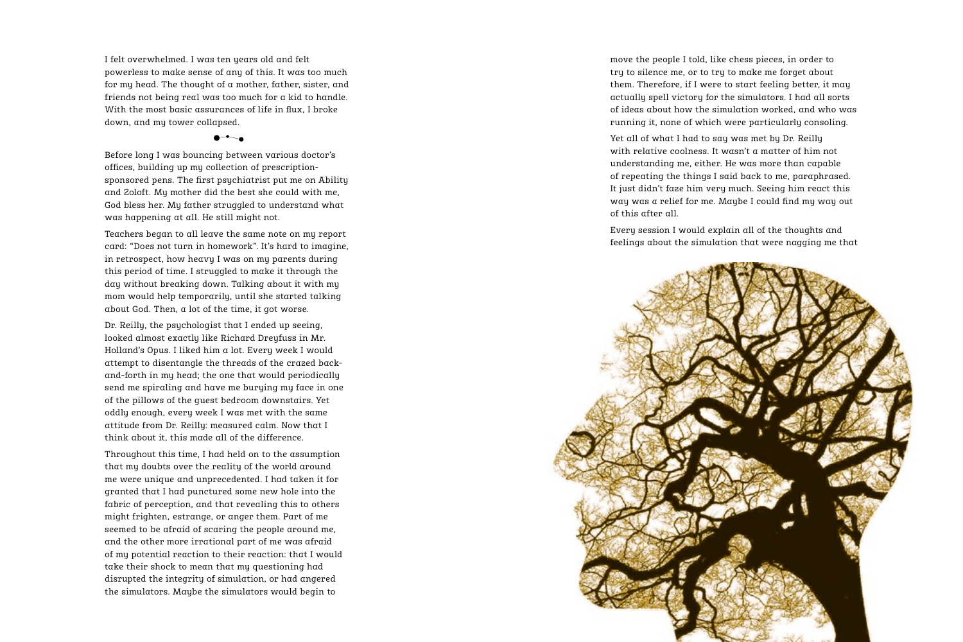I felt overwhelmed. I was ten years old and felt powerless to make sense of any of this. It was too much for my head. The thought of a mother, father, sister, and friends not being real was too much for a kid to handle. With the most basic assurances of life in flux, I broke down, and my tower collapsed.

Before long I was bouncing between various doctor's offices, building up my collection of prescriptionsponsored pens. The first psychiatrist put me on Ability and Zoloft. My mother did the best she could with me, God bless her. My father struggled to understand what was happening at all. He still might not.

Teachers began to all leave the same note on my report card: "Does not turn in homework". It's hard to imagine, in retrospect, how heavy I was on my parents during this period of time. I struggled to make it through the day without breaking down. Talking about it with my mom would help temporarily, until she started talking about God. Then, a lot of the time, it got worse.

Dr. Reilly, the psychologist that I ended up seeing, looked almost exactly like Richard Dreyfuss in Mr. Holland's Opus. I liked him a lot. Every week I would attempt to disentangle the threads of the crazed backand-forth in my head; the one that would periodically send me spiraling and have me burying my face in one of the pillows of the guest bedroom downstairs. Yet oddly enough, every week I was met with the same attitude from Dr. Reilly: measured calm. Now that I think about it, this made all of the difference.

Throughout this time, I had held on to the assumption that my doubts over the reality of the world around me were unique and unprecedented. I had taken it for granted that I had punctured some new hole into the fabric of perception, and that revealing this to others might frighten, estrange, or anger them. Part of me seemed to be afraid of scaring the people around me, and the other more irrational part of me was afraid of my potential reaction to their reaction: that I would take their shock to mean that my questioning had disrupted the integrity of simulation, or had angered the simulators. Maybe the simulators would begin to

move the people I told, like chess pieces, in order to try to silence me, or to try to make me forget about them. Therefore, if I were to start feeling better, it may actually spell victory for the simulators. I had all sorts of ideas about how the simulation worked, and who was running it, none of which were particularly consoling.

Yet all of what I had to say was met by Dr. Reilly with relative coolness. It wasn't a matter of him not understanding me, either. He was more than capable of repeating the things I said back to me, paraphrased. It just didn't faze him very much. Seeing him react this way was a relief for me. Maybe I could find my way out of this after all.

Every session I would explain all of the thoughts and feelings about the simulation that were nagging me that

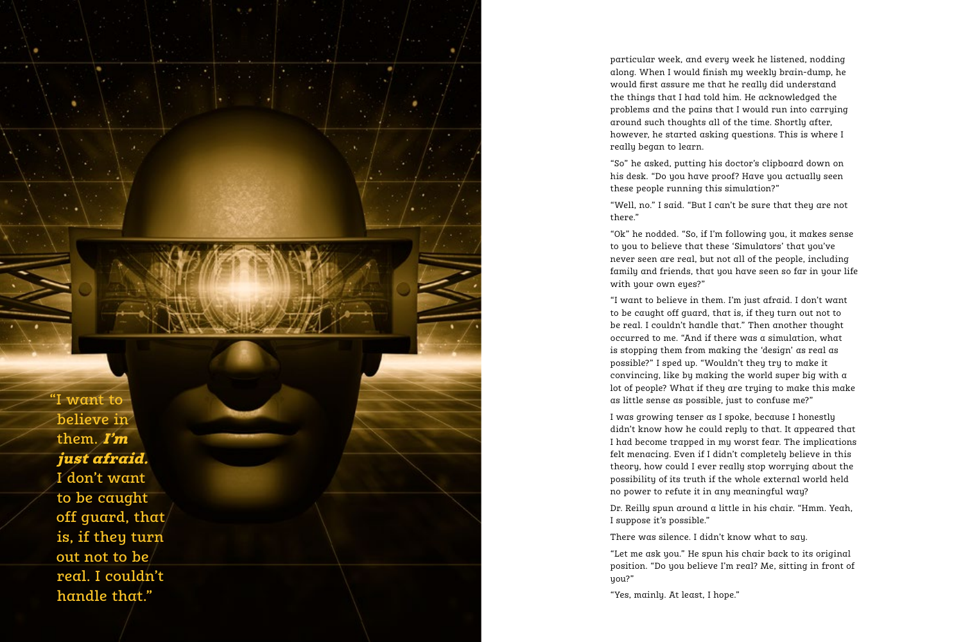"I want to believe in them. I'm just afraid. I don't want to be caught off guard, that is, if they turn out not to be real. I couldn't handle that."

particular week, and every week he listened, nodding along. When I would finish my weekly brain-dump, he would first assure me that he really did understand the things that I had told him. He acknowledged the problems and the pains that I would run into carrying around such thoughts all of the time. Shortly after, however, he started asking questions. This is where I really began to learn.

"So" he asked, putting his doctor's clipboard down on his desk. "Do you have proof? Have you actually seen these people running this simulation?"

"Well, no." I said. "But I can't be sure that they are not there."

"Ok" he nodded. "So, if I'm following you, it makes sense to you to believe that these 'Simulators' that you've never seen are real, but not all of the people, including family and friends, that you have seen so far in your life with your own eyes?"

"I want to believe in them. I'm just afraid. I don't want to be caught off guard, that is, if they turn out not to be real. I couldn't handle that." Then another thought occurred to me. "And if there was a simulation, what is stopping them from making the 'design' as real as possible?" I sped up. "Wouldn't they try to make it convincing, like by making the world super big with a lot of people? What if they are trying to make this make as little sense as possible, just to confuse me?"

I was growing tenser as I spoke, because I honestly didn't know how he could reply to that. It appeared that I had become trapped in my worst fear. The implications felt menacing. Even if I didn't completely believe in this theory, how could I ever really stop worrying about the possibility of its truth if the whole external world held no power to refute it in any meaningful way?

Dr. Reilly spun around a little in his chair. "Hmm. Yeah, I suppose it's possible."

There was silence. I didn't know what to say.

"Let me ask you." He spun his chair back to its original position. "Do you believe I'm real? Me, sitting in front of you?"

"Yes, mainly. At least, I hope."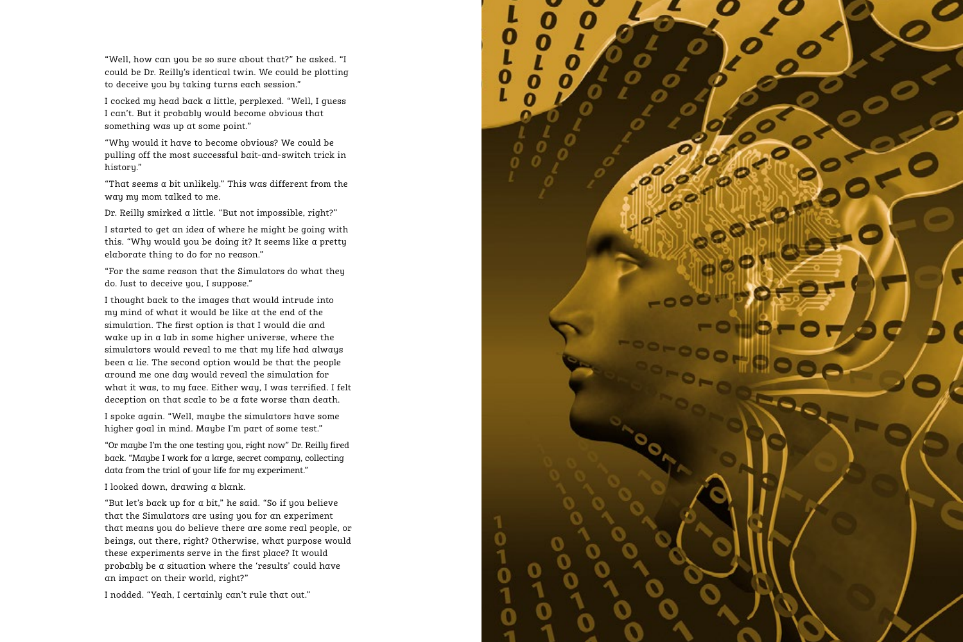"Well, how can you be so sure about that?" he asked. "I could be Dr. Reilly's identical twin. We could be plotting to deceive you by taking turns each session."

I cocked my head back a little, perplexed. "Well, I guess I can't. But it probably would become obvious that something was up at some point."

"Why would it have to become obvious? We could be pulling off the most successful bait-and-switch trick in history."

"That seems a bit unlikely." This was different from the way my mom talked to me.

Dr. Reilly smirked a little. "But not impossible, right?"

I started to get an idea of where he might be going with this. "Why would you be doing it? It seems like a pretty elaborate thing to do for no reason."

"For the same reason that the Simulators do what they do. Just to deceive you, I suppose."

I thought back to the images that would intrude into my mind of what it would be like at the end of the simulation. The first option is that I would die and wake up in a lab in some higher universe, where the simulators would reveal to me that my life had always been a lie. The second option would be that the people around me one day would reveal the simulation for what it was, to my face. Either way, I was terrified. I felt deception on that scale to be a fate worse than death.

I spoke again. "Well, maybe the simulators have some higher goal in mind. Maybe I'm part of some test."

"Or maybe I'm the one testing you, right now" Dr. Reilly fired back. "Maybe I work for a large, secret company, collecting data from the trial of your life for my experiment."

I looked down, drawing a blank.

"But let's back up for a bit," he said. "So if you believe that the Simulators are using you for an experiment that means you do believe there are some real people, or beings, out there, right? Otherwise, what purpose would these experiments serve in the first place? It would probably be a situation where the 'results' could have an impact on their world, right?"

I nodded. "Yeah, I certainly can't rule that out."

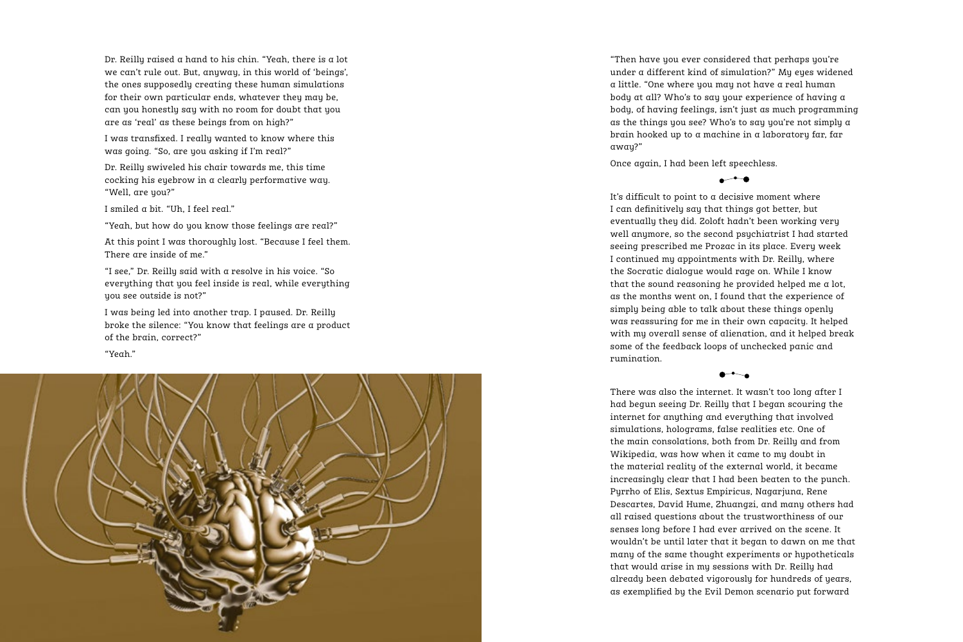Dr. Reilly raised a hand to his chin. "Yeah, there is a lot we can't rule out. But, anyway, in this world of 'beings', the ones supposedly creating these human simulations for their own particular ends, whatever they may be, can you honestly say with no room for doubt that you are as 'real' as these beings from on high?"

I was transfixed. I really wanted to know where this was going. "So, are you asking if I'm real?"

Dr. Reilly swiveled his chair towards me, this time cocking his eyebrow in a clearly performative way. "Well, are you?"

I smiled a bit. "Uh, I feel real."

"Yeah, but how do you know those feelings are real?"

At this point I was thoroughly lost. "Because I feel them. There are inside of me."

"I see," Dr. Reilly said with a resolve in his voice. "So everything that you feel inside is real, while everything you see outside is not?"

I was being led into another trap. I paused. Dr. Reilly broke the silence: "You know that feelings are a product of the brain, correct?"

"Yeah."



"Then have you ever considered that perhaps you're under a different kind of simulation?" My eyes widened a little. "One where you may not have a real human body at all? Who's to say your experience of having a body, of having feelings, isn't just as much programming as the things you see? Who's to say you're not simply a brain hooked up to a machine in a laboratory far, far away?"

Once again, I had been left speechless.

 $\overline{\phantom{a}}$ 

It's difficult to point to a decisive moment where I can definitively say that things got better, but eventually they did. Zoloft hadn't been working very well anymore, so the second psychiatrist I had started seeing prescribed me Prozac in its place. Every week I continued my appointments with Dr. Reilly, where the Socratic dialogue would rage on. While I know that the sound reasoning he provided helped me a lot, as the months went on, I found that the experience of simply being able to talk about these things openly was reassuring for me in their own capacity. It helped with my overall sense of alienation, and it helped break some of the feedback loops of unchecked panic and rumination.

There was also the internet. It wasn't too long after I had begun seeing Dr. Reilly that I began scouring the internet for anything and everything that involved simulations, holograms, false realities etc. One of the main consolations, both from Dr. Reilly and from Wikipedia, was how when it came to my doubt in the material reality of the external world, it became increasingly clear that I had been beaten to the punch. Pyrrho of Elis, Sextus Empiricus, Nagarjuna, Rene Descartes, David Hume, Zhuangzi, and many others had all raised questions about the trustworthiness of our senses long before I had ever arrived on the scene. It wouldn't be until later that it began to dawn on me that many of the same thought experiments or hypotheticals that would arise in my sessions with Dr. Reilly had already been debated vigorously for hundreds of years, as exemplified by the Evil Demon scenario put forward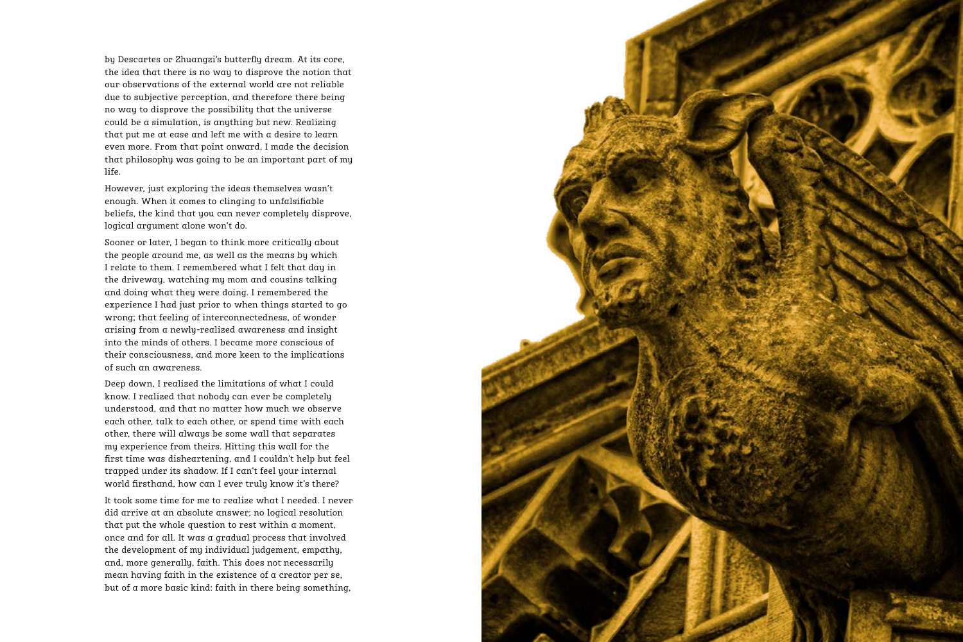by Descartes or Zhuangzi's butterfly dream. At its core, the idea that there is no way to disprove the notion that our observations of the external world are not reliable due to subjective perception, and therefore there being no way to disprove the possibility that the universe could be a simulation, is anything but new. Realizing that put me at ease and left me with a desire to learn even more. From that point onward, I made the decision that philosophy was going to be an important part of my life.

However, just exploring the ideas themselves wasn't enough. When it comes to clinging to unfalsifiable beliefs, the kind that you can never completely disprove, logical argument alone won't do.

Sooner or later, I began to think more critically about the people around me, as well as the means by which I relate to them. I remembered what I felt that day in the driveway, watching my mom and cousins talking and doing what they were doing. I remembered the experience I had just prior to when things started to go wrong; that feeling of interconnectedness, of wonder arising from a newly-realized awareness and insight into the minds of others. I became more conscious of their consciousness, and more keen to the implications of such an awareness.

Deep down, I realized the limitations of what I could know. I realized that nobody can ever be completely understood, and that no matter how much we observe each other, talk to each other, or spend time with each other, there will always be some wall that separates my experience from theirs. Hitting this wall for the first time was disheartening, and I couldn't help but feel trapped under its shadow. If I can't feel your internal world firsthand, how can I ever truly know it's there?

It took some time for me to realize what I needed. I never did arrive at an absolute answer; no logical resolution that put the whole question to rest within a moment, once and for all. It was a gradual process that involved the development of my individual judgement, empathy, and, more generally, faith. This does not necessarily mean having faith in the existence of a creator per se, but of a more basic kind: faith in there being something,